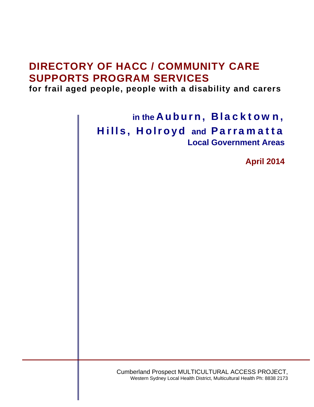## **DIRECTORY OF HACC / COMMUNITY CARE SUPPORTS PROGRAM SERVICES**

**for frail aged people, people with a disability and carers**

**in the** Auburn, Blacktown, Hills, Holroyd **and** Parramatta **Local Government Areas** 

**April 2014**

Cumberland Prospect MULTICULTURAL ACCESS PROJECT, Western Sydney Local Health District, Multicultural Health Ph: 8838 2173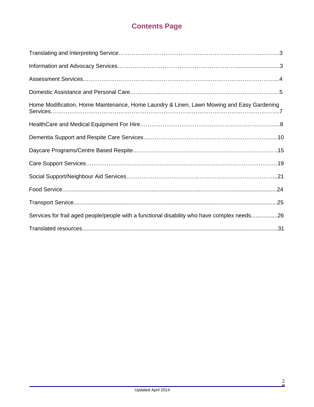## **Contents Page**

| Home Modification, Home Maintenance, Home Laundry & Linen, Lawn Mowing and Easy Gardening   |
|---------------------------------------------------------------------------------------------|
|                                                                                             |
|                                                                                             |
|                                                                                             |
|                                                                                             |
|                                                                                             |
|                                                                                             |
|                                                                                             |
| Services for frail aged people/people with a functional disability who have complex needs26 |
|                                                                                             |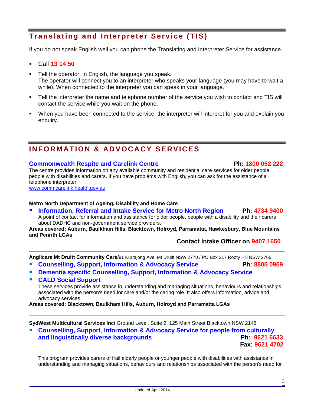## **Translating and Interpreter Service (TIS)**

If you do not speak English well you can phone the Translating and Interpreter Service for assistance.

- Call **13 14 50**
- Tell the operator, in English, the language you speak. The operator will connect you to an interpreter who speaks your language (you may have to wait a while). When connected to the interpreter you can speak in your language.
- Tell the interpreter the name and telephone number of the service you wish to contact and TIS will contact the service while you wait on the phone.
- When you have been connected to the service, the interpreter will interpret for you and explain you enquiry.

## **INFORMATION & ADVOCACY SERVICES**

#### **Commonwealth Respite and Carelink Centre Ph: 1800 052 222**

The centre provides information on any available community and residential care services for older people, people with disabilities and carers. If you have problems with English, you can ask for the assistance of a telephone interpreter.

[www.commcarelink.health.gov.au](http://www.commcarelink.health.gov.au/)

#### **Metro North Department of Ageing, Disability and Home Care**

**Information, Referral and Intake Service for Metro North Region Ph: 4734 9400** A point of contact for information and assistance for older people, people with a disability and their carers about DADHC and non-government service providers.

**Areas covered: Auburn, Baulkham Hills, Blacktown, Holroyd, Parramatta, Hawkesbury, Blue Mountains and Penrith LGAs** 

### **Contact Intake Officer on 9407 1650**

**Anglicare Mt Druitt Community Care/**91 Kurrajong Ave, Mt Druitt NSW 2770 / PO Box 217 Rooty Hill NSW 2766

- **Counselling, Support, Information & Advocacy Service Ph: 8805 0959**
- **Dementia specific Counselling, Support, Information & Advocacy Service**
- **CALD Social Support**

These services provide assistance in understanding and managing situations, behaviours and relationships associated with the person's need for care and/or the caring role. It also offers information, advice and advocacy services.

**Areas covered: Blacktown, Baulkham Hills, Auburn, Holroyd and Parramatta LGAs** 

**SydWest Multicultural Services Inc/** Ground Level, Suite 2, 125 Main Street Blacktown NSW 2148

 **Counselling, Support**, **Information & Advocacy Service for people from culturally and linguistically diverse backgrounds Fax: 9621 4702**

This program provides carers of frail elderly people or younger people with disabilities with assistance in understanding and managing situations, behaviours and relationships associated with the person's need for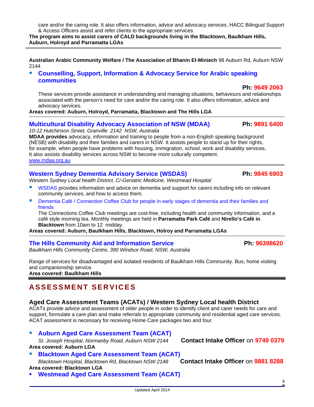care and/or the caring role. It also offers information, advice and advocacy services. HACC Bilingual Support & Access Officers assist and refer clients to the appropriate services.

**The program aims to assist carers of CALD backgrounds living in the Blacktown, Baulkham Hills, Auburn, Holroyd and Parramatta LGAs** 

**Australian Arabic Community Welfare / The Association of Bhanin El-Miniech** 98 Auburn Rd, Auburn NSW 2144

 **Counselling, Support, Information & Advocacy Service for Arabic speaking communities** 

These services provide assistance in understanding and managing situations, behaviours and relationships associated with the person's need for care and/or the caring role. It also offers information, advice and advocacy services.

**Areas covered: Auburn, Holroyd, Parramatta, Blacktown and The Hills LGA** 

### **Multicultural Disability Advocacy Association of NSW (MDAA) Ph: 9891 6400**

*10-12 Hutchinson Street, Granville 2142 NSW, Australia*

**MDAA provides** advocacy, information and training to people from a non-English speaking background (NESB) with disability and their families and carers in NSW. It assists people to stand up for their rights, for example, when people have problems with housing, immigration, school, work and disability services. It also assists disability services across NSW to become more culturally competent. [www.mdaa.org.au](http://www.mdaa.org.au/)

### Western Sydney Dementia Advisory Service (WSDAS) **Ph: 9845 6903**

*Western Sydney Local health District, C/-Geriatric Medicine, Westmead Hospital* 

- WSDAS provides information and advice on dementia and support for carers including info on relevant community services, and how to access them.
- **Dementia Café / Connection Coffee Club for people in early stages of dementia and their families and** friends

The Connections Coffee Club meetings are cost-free, including health and community information, and a café style morning tea. Monthly meetings are held in **Parramatta Park Café** and **Nirello's Café in Blacktown** from 10am to 12 midday.

**Areas covered: Auburn, Baulkham Hills, Blacktown, Holroy and Parramatta LGAs** 

### **The Hills Community Aid and Information Service Ph: 96398620**

*Baulkham Hills Community Centre, 390 Windsor Road, NSW, Australia* 

Range of services for disadvantaged and isolated residents of Baulkham Hills Community. Bus, home visiting and companionship service. **Area covered: Baulkham Hills**

## **ASSESSMENT SERVICES**

### **Aged Care Assessment Teams (ACATs) / Western Sydney Local health District**

ACATs provide advice and assessment of older people in order to identify client and carer needs for care and support, formulate a care plan and make referrals to appropriate community and residential aged care services. ACAT assessment is necessary for receiving Home Care packages two and four.

### **Auburn Aged Care Assessment Team (ACAT)**

*St. Joseph Hospital, Normanby Road, Auburn NSW 2144* **Contact Intake Officer** on **9749 0379 Area covered: Auburn LGA** 

 **Blacktown Aged Care Assessment Team (ACAT)**  *Blacktown Hospital, Blacktown Rd, Blacktown NSW 2148* **Contact Intake Officer** on **9881 8288**

#### **Area covered: Blacktown LGA**

**Westmead Aged Care Assessment Team (ACAT)** 

 **Ph: 9649 2063**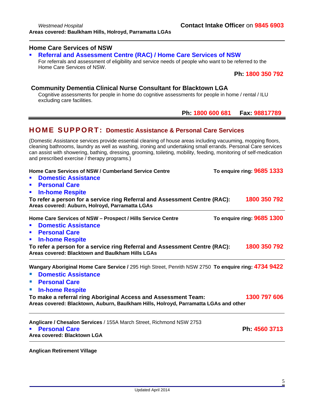#### **Home Care Services of NSW**

### **Referral and Assessment Centre (RAC) / Home Care Services of NSW**

For referrals and assessment of eligibility and service needs of people who want to be referred to the Home Care Services of NSW.

 **Ph: 1800 350 792** 

#### **Community Dementia Clinical Nurse Consultant for Blacktown LGA**

Cognitive assessments for people in home do cognitive assessments for people in home / rental / ILU excluding care facilities.

 **Ph: 1800 600 681 Fax: 98817789**

## **HOME SUPPORT: Domestic Assistance & Personal Care Services**

(Domestic Assistance services provide essential cleaning of house areas including vacuuming, mopping floors, cleaning bathrooms, laundry as well as washing, ironing and undertaking small errands. Personal Care services can assist with showering, bathing, dressing, grooming, toileting, mobility, feeding, monitoring of self-medication and prescribed exercise / therapy programs.)

| Home Care Services of NSW / Cumberland Service Centre<br><b>Domestic Assistance</b><br>$\blacksquare$<br><b>Personal Care</b><br>п<br><b>In-home Respite</b><br>$\blacksquare$<br>To refer a person for a service ring Referral and Assessment Centre (RAC): | To enquire ring: 9685 1333<br>1800 350 792 |
|--------------------------------------------------------------------------------------------------------------------------------------------------------------------------------------------------------------------------------------------------------------|--------------------------------------------|
| Areas covered: Auburn, Holroyd, Parramatta LGAs                                                                                                                                                                                                              |                                            |
| Home Care Services of NSW - Prospect / Hills Service Centre<br><b>Domestic Assistance</b><br>$\blacksquare$<br><b>Personal Care</b><br>п                                                                                                                     | To enquire ring: 9685 1300                 |
| <b>In-home Respite</b><br>$\blacksquare$<br>To refer a person for a service ring Referral and Assessment Centre (RAC):<br>Areas covered: Blacktown and Baulkham Hills LGAs                                                                                   | 1800 350 792                               |
| Wangary Aboriginal Home Care Service / 295 High Street, Penrith NSW 2750 To enquire ring: 4734 9422<br><b>Domestic Assistance</b><br><b>• Personal Care</b><br><b>In-home Respite</b><br>$\mathcal{L}_{\mathcal{A}}$                                         |                                            |
| To make a referral ring Aboriginal Access and Assessment Team:<br>Areas covered: Blacktown, Auburn, Baulkham Hills, Holroyd, Parramatta LGAs and other                                                                                                       | 1300 797 606                               |
| Anglicare / Chesalon Services / 155A March Street, Richmond NSW 2753<br><b>Personal Care</b><br>Area covered: Blacktown LGA                                                                                                                                  | Ph 4560 3713                               |

**Anglican Retirement Village**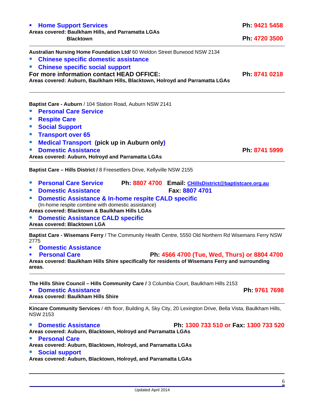**Chinese specific social support For more information contact HEAD OFFICE:** Ph: 8741 0218 Areas covered: Auburn, Baulkham Hills, Blacktown, Holroyd and Parramatta LGAs **Baptist Care - Auburn** / 104 Station Road, Auburn NSW 2141 **Personal Care Service Respite Care F** Social Support **Transport over 65 Medical Transport (pick up in Auburn only) Ph: 8741 5999 Areas covered: Auburn, Holroyd and Parramatta LGAs** 

**Australian Nursing Home Foundation Ltd/** 60 Weldon Street Burwood NSW 2134

- **Baptist Care Hills District /** 8 Freesettlers Drive, Kellyville NSW 2155
- **Personal Care Service Ph: 8807 4700 Email: [CHillsDistrict@baptistcare.org.au](https://webmail.health.nsw.gov.au/owa/redir.aspx?C=hLsYohkAcUir2m-EYP8ug5jXpjdKJtEIx_3hXgrIeHQntR17lXZL1hixNXjiA-BPZSEW3xvkEoQ.&URL=mailto%3aCHillsDistrict%40baptistcare.org.au)**
- **Domestic Assistance Fax: 8807 4701**
- **Domestic Assistance & In-home respite CALD specific**  (In-home respite combine with domestic assistance)

**Areas covered: Blacktown & Baulkham Hills LGAs**

**Domestic Assistance CALD specific** 

**Areas covered: Blacktown LGA** 

**Baptist Care - Wisemans Ferry** / The Community Health Centre, 5550 Old Northern Rd Wisemans Ferry NSW 2775

- **Domestic Assistance**
- **Personal Care Ph: 4566 4700 (Tue, Wed, Thurs) or 8804 4700**

**Areas covered: Baulkham Hills Shire specifically for residents of Wisemans Ferry and surrounding areas.** 

**The Hills Shire Council – Hills Community Care /** 3 Columbia Court, Baulkham Hills 2153

**Domestic Assistance Ph: 9761 7698** 

**Areas covered: Baulkham Hills Shire** 

**Kincare Community Services** / 4th floor, Building A, Sky City, 20 Lexington Drive, Bella Vista, Baulkham Hills, NSW 2153

### **Domestic Assistance Ph: 1300 733 510 or Fax: 1300 733 520**

**Areas covered: Auburn, Blacktown, Holroyd and Parramatta LGAs**

### **Personal Care**

**Areas covered: Auburn, Blacktown, Holroyd, and Parramatta LGAs** 

### **Social support**

**Areas covered: Auburn, Blacktown, Holroyd, and Parramatta LGAs** 

## **Home Support Services Ph:** 9421 5458

#### **Areas covered: Baulkham Hills, and Parramatta LGAs Blacktown Ph: 4720 3500**

**Chinese specific domestic assistance**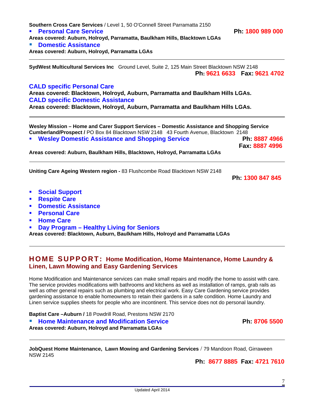| <b>Domestic Assistance</b><br>$\blacksquare$                                                                                                                                                                                                                                                                                    |  |
|---------------------------------------------------------------------------------------------------------------------------------------------------------------------------------------------------------------------------------------------------------------------------------------------------------------------------------|--|
| • Personal Care                                                                                                                                                                                                                                                                                                                 |  |
| <b>Home Care</b><br>$\blacksquare$                                                                                                                                                                                                                                                                                              |  |
| Day Program – Healthy Living for Seniors<br>$\blacksquare$                                                                                                                                                                                                                                                                      |  |
| Areas covered: Blacktown, Auburn, Baulkham Hills, Holroyd and Parramatta LGAs                                                                                                                                                                                                                                                   |  |
| <b>HOME SUPPORT: Home Modification, Home Maintenance, Home Laundry &amp;</b><br><b>Linen, Lawn Mowing and Easy Gardening Services</b>                                                                                                                                                                                           |  |
| Home Modification and Maintenance services can make small repairs and modify the home to assist with care.<br>The service provides modifications with bathrooms and kitchens as well as installation of ramps, grab rails as                                                                                                    |  |
| well as other general repairs such as plumbing and electrical work. Easy Care Gardening service provides<br>gardening assistance to enable homeowners to retain their gardens in a safe condition. Home Laundry and<br>Linen service supplies sheets for people who are incontinent. This service does not do personal laundry. |  |
| Baptist Care-Auburn / 18 Powdrill Road, Prestons NSW 2170                                                                                                                                                                                                                                                                       |  |

**Areas covered: Auburn, Baulkham Hills, Blacktown, Holroyd, Parramatta LGAs** 

**Southern Cross Care Services** / Level 1, 50 O'Connell Street Parramatta 2150

**Areas covered: Auburn, Holroyd, Parramatta, Baulkham Hills, Blacktown LGAs** 

**Personal Care Service Ph: 1800 989 000**

**SydWest Multicultural Services Inc** Ground Level, Suite 2, 125 Main Street Blacktown NSW 2148

**Areas covered: Blacktown, Holroyd, Auburn, Parramatta and Baulkham Hills LGAs.**

**Areas covered: Blacktown, Holroyd, Auburn, Parramatta and Baulkham Hills LGAs.**

**Cumberland/Prospect /** PO Box 84 Blacktown NSW 2148 43 Fourth Avenue, Blacktown 2148

**Wesley Mission – Home and Carer Support Services – Domestic Assistance and Shopping Service** 

**Wesley Domestic Assistance and Shopping Service Ph: 8887 4966** 

**Uniting Care Ageing Western region -** 83 Flushcombe Road Blacktown NSW 2148

**Ph: 1300 847 845** 

 **Fax: 8887 4996**

**Ph: 9621 6633 Fax: 9621 4702**

- **Social Support**
- **Respite Care**
- **E** Domestic Assi

**Domestic Assistance**

**CALD specific Personal Care** 

**CALD specific Domestic Assistance** 

**Areas covered: Auburn, Holroyd, Parramatta LGAs** 

- **Personal Care**
- **Home Care**
- **PROGRAM Day Program -**

## **HOME SUPPORT: Home Modification, Home Maintenance, Home Laundry & Linen, Lawn Mow**

**Ph: 8677 8885 Fax: 4721 7610**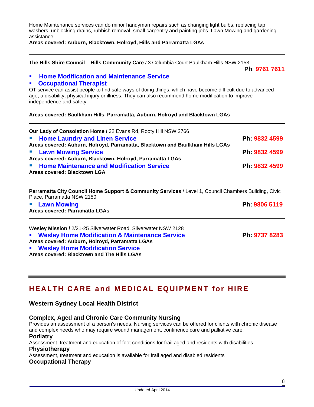Home Maintenance services can do minor handyman repairs such as changing light bulbs, replacing tap washers, unblocking drains, rubbish removal, small carpentry and painting jobs. Lawn Mowing and gardening assistance.

#### **Areas covered: Auburn, Blacktown, Holroyd, Hills and Parramatta LGAs**

**The Hills Shire Council – Hills Community Care /** 3 Columbia Court Baulkham Hills NSW 2153

**Ph**: **9761 7611**

#### **Home Modification and Maintenance Service**

#### **Occupational Therapist**

OT service can assist people to find safe ways of doing things, which have become difficult due to advanced age, a disability, physical injury or illness. They can also recommend home modification to improve independence and safety.

**Areas covered: Baulkham Hills, Parramatta, Auburn, Holroyd and Blacktown LGAs** 

| Our Lady of Consolation Home / 32 Evans Rd, Rooty Hill NSW 2766                    |               |
|------------------------------------------------------------------------------------|---------------|
| <b>E</b> Home Laundry and Linen Service                                            | Ph: 9832 4599 |
| Areas covered: Auburn, Holroyd, Parramatta, Blacktown and Baulkham Hills LGAs      |               |
| <b>E</b> Lawn Mowing Service                                                       | Ph: 9832 4599 |
| Areas covered: Auburn, Blacktown, Holroyd, Parramatta LGAs                         |               |
| <b>E</b> Home Maintenance and Modification Service<br>Areas covered: Blacktown LGA | Ph: 9832 4599 |
|                                                                                    |               |

**Parramatta City Council Home Support & Community Services** / Level 1, Council Chambers Building, Civic Place, Parramatta NSW 2150

 **Lawn Mowing Ph: 9806 5119 Areas covered: Parramatta LGAs Wesley Mission /** 2/21-25 Silverwater Road, Silverwater NSW 2128 **Wesley Home Modification & Maintenance Service Ph: 9737 8283 Areas covered: Auburn, Holroyd, Parramatta LGAs Wesley Home Modification Service Areas covered: Blacktown and The Hills LGAs** 

## **HEALTH CARE and MEDICAL EQUIPMENT for HIRE**

#### **Western Sydney Local Health District**

#### **Complex, Aged and Chronic Care Community Nursing**

Provides an assessment of a person's needs. Nursing services can be offered for clients with chronic disease and complex needs who may require wound management, continence care and palliative care.

**Podiatry** 

Assessment, treatment and education of foot conditions for frail aged and residents with disabilities. **Physiotherapy** 

Assessment, treatment and education is available for frail aged and disabled residents

#### **Occupational Therapy**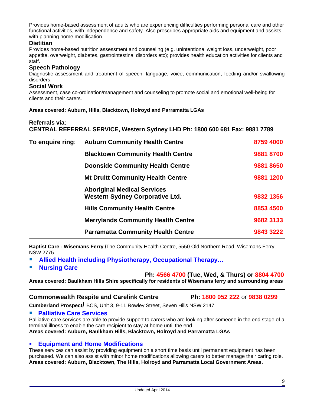Provides home-based assessment of adults who are experiencing difficulties performing personal care and other functional activities, with independence and safety. Also prescribes appropriate aids and equipment and assists with planning home modification.

#### **Dietitian**

Provides home-based nutrition assessment and counseling (e.g. unintentional weight loss, underweight, poor appetite, overweight, diabetes, gastrointestinal disorders etc); provides health education activities for clients and staff.

#### **Speech Pathology**

Diagnostic assessment and treatment of speech, language, voice, communication, feeding and/or swallowing disorders.

#### **Social Work**

Assessment, case co-ordination/management and counseling to promote social and emotional well-being for clients and their carers.

**Areas covered: Auburn, Hills, Blacktown, Holroyd and Parramatta LGAs** 

#### **Referrals via:**

**CENTRAL REFERRAL SERVICE, Western Sydney LHD Ph: 1800 600 681 Fax: 9881 7789** 

| To enquire ring: | <b>Auburn Community Health Centre</b>                                        | 8759 4000 |
|------------------|------------------------------------------------------------------------------|-----------|
|                  | <b>Blacktown Community Health Centre</b>                                     | 9881 8700 |
|                  | <b>Doonside Community Health Centre</b>                                      | 98818650  |
|                  | <b>Mt Druitt Community Health Centre</b>                                     | 9881 1200 |
|                  | <b>Aboriginal Medical Services</b><br><b>Western Sydney Corporative Ltd.</b> | 9832 1356 |
|                  | <b>Hills Community Health Centre</b>                                         | 8853 4500 |
|                  | <b>Merrylands Community Health Centre</b>                                    | 9682 3133 |
|                  | <b>Parramatta Community Health Centre</b>                                    | 9843 3222 |

**Baptist Care - Wisemans Ferry /**The Community Health Centre, 5550 Old Northern Road, Wisemans Ferry, NSW 2775

- **Allied Health including Physiotherapy, Occupational Therapy…**
- **Nursing Care**

 **Ph: 4566 4700 (Tue, Wed, & Thurs) or 8804 4700**

**Areas covered: Baulkham Hills Shire specifically for residents of Wisemans ferry and surrounding areas** 

#### **Commonwealth Respite and Carelink Centre Ph: 1800 052 222** or **9838 0299**

**Cumberland Prospect/** BCS, Unit 3, 9-11 Rowley Street, Seven Hills NSW 2147

#### **Palliative Care Services**

Palliative care services are able to provide support to carers who are looking after someone in the end stage of a terminal illness to enable the care recipient to stay at home until the end. **Areas covered: Auburn, Baulkham Hills, Blacktown, Holroyd and Parramatta LGAs** 

#### **Equipment and Home Modifications**

These services can assist by providing equipment on a short time basis until permanent equipment has been purchased. We can also assist with minor home modifications allowing carers to better manage their caring role. **Areas covered: Auburn, Blacktown, The Hills, Holroyd and Parramatta Local Government Areas.**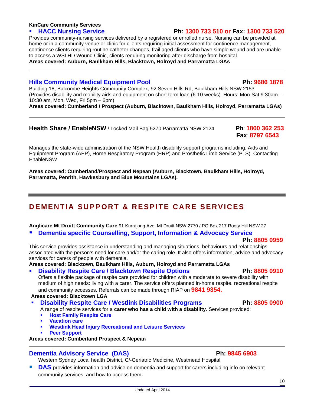#### **KinCare Community Services**

### **HACC Nursing Service Ph: 1300 733 510 or Fax: 1300 733 520**

Provides community-nursing services delivered by a registered or enrolled nurse. Nursing can be provided at home or in a community venue or clinic for clients requiring initial assessment for continence management, continence clients requiring routine catheter changes, frail aged clients who have simple wound and are unable to access a WSLHD Wound Clinic, clients requiring monitoring after discharge from hospital. **Areas covered: Auburn, Baulkham Hills, Blacktown, Holroyd and Parramatta LGAs**

## **Hills Community Medical Equipment Pool Ph: 9686 1878**

Building 18, Balcombe Heights Community Complex, 92 Seven Hills Rd, Baulkham Hills NSW 2153 (Provides disability and mobility aids and equipment on short term loan (6-10 weeks). Hours: Mon-Sat 9:30am – 10:30 am, Mon, Wed, Fri 5pm – 6pm)

**Areas covered: Cumberland / Prospect (Auburn, Blacktown, Baulkham Hills, Holroyd, Parramatta LGAs)** 

## **Health Share / EnableNSW** / Locked Mail Bag 5270 Parramatta NSW 2124 **Ph**: **1800 362 253**

Manages the state-wide administration of the NSW Health disability support programs including: Aids and Equipment Program (AEP), Home Respiratory Program (HRP) and Prosthetic Limb Service (PLS). Contacting EnableNSW

**Areas covered: Cumberland/Prospect and Nepean (Auburn, Blacktown, Baulkham Hills, Holroyd, Parramatta, Penrith, Hawkesbury and Blue Mountains LGAs).** 

## **DEMENTIA SUPPORT & RESPITE CARE SERVICES**

**Anglicare Mt Druitt Community Care** 91 Kurrajong Ave, Mt Druitt NSW 2770 / PO Box 217 Rooty Hill NSW 27

### **Dementia specific Counselling, Support, Information & Advocacy Service**

### **Ph: 8805 0959**

This service provides assistance in understanding and managing situations, behaviours and relationships associated with the person's need for care and/or the caring role. It also offers information, advice and advocacy services for carers of people with dementia.

**Areas covered: Blacktown, Baulkham Hills, Auburn, Holroyd and Parramatta LGAs**

### **Disability Respite Care / Blacktown Respite Options Ph: 8805 0910 <b>Ph: 8805 0910**

Offers a flexible package of respite care provided for children with a moderate to severe disability with medium of high needs: living with a carer. The service offers planned in-home respite, recreational respite and community accesses. Referrals can be made through RIAP on **9841 9354.**

**Areas covered: Blacktown LGA** 

**Disability Respite Care / Westlink Disabilities Programs Ph: 8805 0900** 

A range of respite services for a **carer who has a child with a disability**. Services provided:

- **Host Family Respite Care**
- **Vacation care**
- **Westlink Head Injury Recreational and Leisure Services**
- **Peer Support**

**Areas covered: Cumberland Prospect & Nepean** 

## **Dementia Advisory Service (DAS) Network 19845 6903**

Western Sydney Local health District, C/-Geriatric Medicine, Westmead Hospital

 **DAS** provides information and advice on dementia and support for carers including info on relevant community services, and how to access them.

**Fax**: **8797 6543**



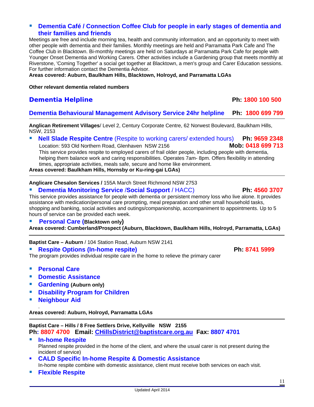#### **Dementia Café / Connection Coffee Club for people in early stages of dementia and their families and friends**

Meetings are free and include morning tea, health and community information, and an opportunity to meet with other people with dementia and their families. Monthly meetings are held and Parramatta Park Cafe and The Coffee Club in Blacktown. Bi-monthly meetings are held on Saturdays at Parramatta Park Cafe for people with Younger Onset Dementia and Working Carers. Other activities include a Gardening group that meets monthly at Riverstone, 'Coming Together' a social get together at Blacktown, a men's group and Carer Education sessions. For further information contact the Dementia Advisor.

**Areas covered: Auburn, Baulkham Hills, Blacktown, Holroyd, and Parramatta LGAs** 

**Other relevant dementia related numbers** 

### **Dementia Helpline Ph: 1800 100 500**

#### **Dementia Behavioural Management Advisory Service 24hr helpline Ph: 1800 699 799**

**Anglican Retirement Villages**/ Level 2, Century Corporate Centre, 62 Norwest Boulevard, Baulkham Hills, NSW, 2153

**Nell Slade Respite Centre** (Respite to working carers/ extended hours) **Ph: 9659 2348** 

Location: 593 Old Northern Road, Glenhaven NSW 2156 **Mob: 0418 699 713**  This service provides respite to employed carers of frail older people, including people with dementia, helping them balance work and caring responsibilities. Operates 7am- 8pm. Offers flexibility in attending times, appropriate activities, meals safe, secure and home like environment.

**Areas covered: Baulkham Hills, Hornsby or Ku-ring-gai LGAs)** 

**Anglicare Chesalon Services /** 155A March Street Richmond NSW 2753

#### **Dementia Monitoring Service** /**Social Support** / HACC) **Ph: 4560 3707**

This service provides assistance for people with dementia or persistent memory loss who live alone. It provides assistance with medication/personal care prompting, meal preparation and other small household tasks, shopping and banking, social activities and outings/companionship, accompaniment to appointments. Up to 5 hours of service can be provided each week.

**Personal Care (Blacktown only)** 

**Areas covered: Cumberland/Prospect (Auburn, Blacktown, Baulkham Hills, Holroyd, Parramatta, LGAs)** 

**Baptist Care – Auburn** / 104 Station Road, Auburn NSW 2141

**Respite Options (In-home respite) Network 1999** Ph: 8741 5999

The program provides individual respite care in the home to relieve the primary carer

- **Personal Care**
- **Domestic Assistance**
- **Gardening (Auburn only)**
- **Disability Program for Children**
- **Neighbour Aid**

.

**Areas covered: Auburn, Holroyd, Parramatta LGAs** 

### **Baptist Care – Hills / 8 Free Settlers Drive, Kellyville NSW 2155 Ph: 8807 4700 Email: [CHillsDistrict@baptistcare.org.au](https://webmail.health.nsw.gov.au/owa/redir.aspx?C=hLsYohkAcUir2m-EYP8ug5jXpjdKJtEIx_3hXgrIeHQntR17lXZL1hixNXjiA-BPZSEW3xvkEoQ.&URL=mailto%3aCHillsDistrict%40baptistcare.org.au) Fax: 8807 4701**

#### **In-home Respite**  Planned respite provided in the home of the client, and where the usual carer is not present during the incident of service)

- **CALD Specific In-home Respite & Domestic Assistance**  In-home respite combine with domestic assistance, client must receive both services on each visit.
- **Flexible Respite**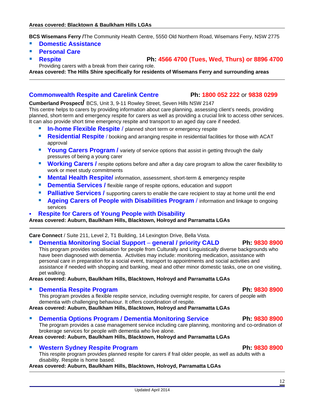**BCS Wisemans Ferry /**The Community Health Centre, 5550 Old Northern Road, Wisemans Ferry, NSW 2775

- **Domestic Assistance**
- **Personal Care**
- **Respite Ph: 4566 4700 (Tues, Wed, Thurs) or 8896 4700** Providing carers with a break from their caring role.

**Areas covered: The Hills Shire specifically for residents of Wisemans Ferry and surrounding areas** 

#### **Commonwealth Respite and Carelink Centre Ph: 1800 052 222** or **9838 0299**

#### **Cumberland Prospect/** BCS, Unit 3, 9-11 Rowley Street, Seven Hills NSW 2147

This centre helps to carers by providing information about care planning, assessing client's needs, providing planned, short-term and emergency respite for carers as well as providing a crucial link to access other services. It can also provide short time emergency respite and transport to an aged day care if needed.

- **In-home Flexible Respite** / planned short term or emergency respite
- **Residential Respite** / booking and arranging respite in residential facilities for those with ACAT approval
- **Young Carers Program /** variety of service options that assist in getting through the daily pressures of being a young carer
- **Working Carers /** respite options before and after a day care program to allow the carer flexibility to work or meet study commitments
- **Mental Health Respite/** information, assessment, short-term & emergency respite
- **Dementia Services /** flexible range of respite options, education and support
- **Palliative Services /** supporting carers to enable the care recipient to stay at home until the end
- **Ageing Carers of People with Disabilities Program** / information and linkage to ongoing services
- **Respite for Carers of Young People with Disability**

**Areas covered: Auburn, Baulkham Hills, Blacktown, Holroyd and Parramatta LGAs** 

**Care Connect** / Suite 211, Level 2, T1 Building, 14 Lexington Drive, Bella Vista.

#### **Dementia Monitoring Social Support** – **general / priority CALD Ph: 9830 8900**

This program provides socialisation for people from Culturally and Linguistically diverse backgrounds who have been diagnosed with dementia. Activities may include: monitoring medication, assistance with personal care in preparation for a social event, transport to appointments and social activities and assistance if needed with shopping and banking, meal and other minor domestic tasks, one on one visiting, pet walking.

**Areas covered: Auburn, Baulkham Hills, Blacktown, Holroyd and Parramatta LGAs** 

#### **Dementia Respite Program Ph: 9830 8900**

This program provides a flexible respite service, including overnight respite, for carers of people with dementia with challenging behaviour. It offers coordination of respite.

**Areas covered: Auburn, Baulkham Hills, Blacktown, Holroyd and Parramatta LGAs** 

#### **Philomentia Options Program / Dementia Monitoring Service Ph: 9830 8900**

The program provides a case management service including care planning, monitoring and co-ordination of brokerage services for people with dementia who live alone.

**Areas covered: Auburn, Baulkham Hills, Blacktown, Holroyd and Parramatta LGAs** 

#### **Western Sydney Respite Program Ph: 9830 8900**

This respite program provides planned respite for carers if frail older people, as well as adults with a disability. Respite is home based.

**Areas covered: Auburn, Baulkham Hills, Blacktown, Holroyd, Parramatta LGAs**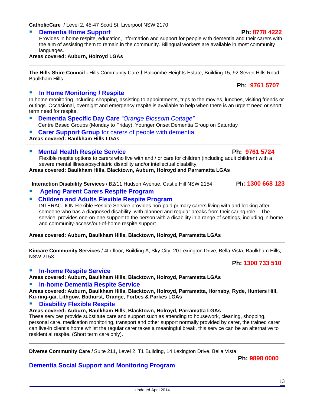**CatholicCare** / Level 2, 45-47 Scott St. Liverpool NSW 2170

#### **Dementia Home Support Ph: 8778 4222**

Provides in home respite, education, information and support for people with dementia and their carers with the aim of assisting them to remain in the community. Bilingual workers are available in most community languages.

#### **Areas covered: Auburn, Holroyd LGAs**

**The Hills Shire Council -** Hills Community Care **/** Balcombe Heights Estate, Building 15, 92 Seven Hills Road, Baulkham Hills

#### **In Home Monitoring / Respite**

In home monitoring including shopping, assisting to appointments, trips to the movies, lunches, visiting friends or outings. Occasional, overnight and emergency respite is available to help when there is an urgent need or short term need for respite.

- **Dementia Specific Day Care** *"Orange Blossom Cottage"*  Centre Based Groups (Monday to Friday), Younger Onset Dementia Group on Saturday
- **Carer Support Group** for carers of people with dementia

**Areas covered: Baulkham Hills LGAs** 

**Nental Health Respite Service Area Access 19761 5724** 

Flexible respite options to carers who live with and / or care for children (including adult children) with a severe mental illness/psychiatric disability and/or intellectual disability. **Areas covered: Baulkham Hills, Blacktown, Auburn, Holroyd and Parramatta LGAs** 

**Interaction Disability Services** / B2/11 Hudson Avenue, Castle Hill NSW 2154 **Ph: 1300 668 123**

#### **Ageing Parent Carers Respite Program**

#### **Children and Adults Flexible Respite Program**

INTERACTION Flexible Respite Service provides non-paid primary carers living with and looking after someone who has a diagnosed disability with planned and regular breaks from their caring role. The service provides one-on-one support to the person with a disability in a range of settings, including in-home and community-access/out-of-home respite support.

**Areas covered: Auburn, Baulkham Hills, Blacktown, Holroyd, Parramatta LGAs** 

**Kincare Community Services** / 4th floor, Building A, Sky City, 20 Lexington Drive, Bella Vista, Baulkham Hills, NSW 2153

#### **In-home Respite Service**

**Areas covered: Auburn, Baulkham Hills, Blacktown, Holroyd, Parramatta LGAs**

#### **In-home Dementia Respite Service**

**Areas covered: Auburn, Baulkham Hills, Blacktown, Holroyd, Parramatta, Hornsby, Ryde, Hunters Hill, Ku-ring-gai, Lithgow, Bathurst, Orange, Forbes & Parkes LGAs** 

#### **Disability Flexible Respite**

#### **Areas covered: Auburn, Baulkham Hills, Blacktown, Holroyd, Parramatta LGAs**

**Dementia Social Support and Monitoring Program**

These services provide substitute care and support such as attending to housework, cleaning, shopping, personal care, medication monitoring, transport and other support normally provided by carer, the trained carer can live-in client's home whilst the regular carer takes a meaningful break, this service can be an alternative to residential respite. (Short term care only).

**Diverse Community Care /** Suite 211, Level 2, T1 Building, 14 Lexington Drive, Bella Vista.

**Ph: 9898 0000** 

 **Ph: 9761 5707**

#### **Ph: 1300 733 510**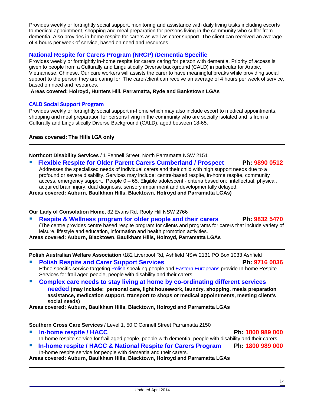Provides weekly or fortnightly social support, monitoring and assistance with daily living tasks including escorts to medical appointment, shopping and meal preparation for persons living in the community who suffer from dementia. Also provides in-home respite for carers as well as carer support. The client can received an average of 4 hours per week of service, based on need and resources.

## **National Respite for Carers Program (NRCP) /Dementia Specific**

Provides weekly or fortnightly in-home respite for carers caring for person with dementia. Priority of access is given to people from a Culturally and Linguistically Diverse background (CALD) in particular for Arabic, Vietnamese, Chinese. Our care workers will assists the carer to have meaningful breaks while providing social support to the person they are caring for. The carer/client can receive an average of 4 hours per week of service, based on need and resources.

**Areas covered: Holroyd, Hunters Hill, Parramatta, Ryde and Bankstown LGAs** 

### **CALD Social Support Program**

Provides weekly or fortnightly social support in-home which may also include escort to medical appointments, shopping and meal preparation for persons living in the community who are socially isolated and is from a Culturally and Linguistically Diverse Background (CALD), aged between 18-65.

**Areas covered: The Hills LGA only**

**Northcott Disability Services /** 1 Fennell Street, North Parramatta NSW 2151

 **Flexible Respite for Older Parent Carers Cumberland / Prospect Ph: 9890 0512** Addresses the specialised needs of individual carers and their child with high support needs due to a profound or severe disability. Services may include: centre-based respite, in-home respite, community access, emergency support. People 0 – 65. Eligible adolescent - criteria based on: intellectual, physical, acquired brain injury, dual diagnosis, sensory impairment and developmentally delayed.

**Areas covered: Auburn, Baulkham Hills, Blacktown, Holroyd and Parramatta LGAs)** 

**Our Lady of Consolation Home,** 32 Evans Rd, Rooty Hill NSW 2766

 **Respite & Wellness program for older people and their carers Ph: 9832 5470** (The centre provides centre based respite program for clients and programs for carers that include variety of leisure, lifestyle and education, information and health promotion activities.

**Areas covered: Auburn, Blacktown, Baulkham Hills, Holroyd, Parramatta LGAs** 

**Polish Australian Welfare Association** /182 Liverpool Rd, Ashfield NSW 2131 PO Box 1033 Ashfield

- **Polish Respite and Carer Support Services Ph: 9716 0036** Ethno specific service targeting Polish speaking people and Eastern Europeans provide In-home Respite Services for frail aged people, people with disability and their carers.
- **Complex care needs to stay living at home by co-ordinating different services needed (may include: personal care, light housework, laundry, shopping, meals preparation assistance, medication support, transport to shops or medical appointments, meeting client's social needs)**

**Areas covered: Auburn, Baulkham Hills, Blacktown, Holroyd and Parramatta LGAs** 

**Southern Cross Care Services /** Level 1, 50 O'Connell Street Parramatta 2150

 **In-home respite / HACC Ph: 1800 989 000** In-home respite service for frail aged people, people with dementia, people with disability and their carers. **In-home respite / HACC & National Respite for Carers Program Ph: 1800 989 000** In-home respite service for people with dementia and their carers.

**Areas covered: Auburn, Baulkham Hills, Blacktown, Holroyd and Parramatta LGAs**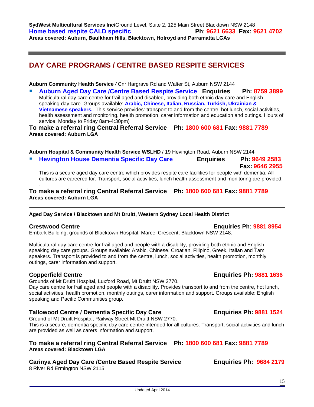**SydWest Multicultural Services Inc/**Ground Level, Suite 2, 125 Main Street Blacktown NSW 2148 **Home based respite CALD specific Ph**: **9621 6633 Fax: 9621 4702 Areas covered: Auburn, Baulkham Hills, Blacktown, Holroyd and Parramatta LGAs** 

## **DAY CARE PROGRAMS / CENTRE BASED RESPITE SERVICES**

**Auburn Community Health Service** */* Cnr Hargrave Rd and Walter St, Auburn NSW 2144

 **Auburn Aged Day Care /Centre Based Respite Service Enquiries Ph: 8759 3899** Multicultural day care centre for frail aged and disabled, providing both ethnic day care and Englishspeaking day care. Groups available: **Arabic, Chinese, Italian, Russian, Turkish, Ukrainian & Vietnamese speakers.**. This service provides: transport to and from the centre, hot lunch, social activities, health assessment and monitoring, health promotion, carer information and education and outings. Hours of service: Monday to Friday 8am-4:30pm)

**To make a referral ring Central Referral Service Ph: 1800 600 681 Fax: 9881 7789 Areas covered: Auburn LGA** 

**Auburn Hospital & Community Health Service WSLHD** / 19 Hevington Road, Auburn NSW 2144

 **Hevington House Dementia Specific Day Care Enquiries Ph: 9649 2583 Fax: 9646 2955** 

This is a secure aged day care centre which provides respite care facilities for people with dementia. All cultures are careered for. Transport, social activities, lunch health assessment and monitoring are provided.

#### **To make a referral ring Central Referral Service Ph: 1800 600 681 Fax: 9881 7789 Areas covered: Auburn LGA**

#### **Aged Day Service / Blacktown and Mt Druitt, Western Sydney Local Health District**

#### **Crestwood Centre Enquiries Ph: 9881 8954**

.

Embark Building, grounds of Blacktown Hospital, Marcel Crescent, Blacktown NSW 2148.

Multicultural day care centre for frail aged and people with a disability, providing both ethnic and Englishspeaking day care groups. Groups available: Arabic, Chinese, Croatian, Filipino, Greek, Italian and Tamil speakers. Transport is provided to and from the centre, lunch, social activities, health promotion, monthly outings, carer information and support.

#### **Copperfield Centre Enquiries Ph: 9881 1636**

Grounds of Mt Druitt Hospital, Luxford Road, Mt Druitt NSW 2770.

Day care centre for frail aged and people with a disability. Provides transport to and from the centre, hot lunch, social activities, health promotion, monthly outings, carer information and support. Groups available: English speaking and Pacific Communities group.

#### **Tallowood Centre / Dementia Specific Day Care Enquiries Ph: 9881 1524**

Ground of Mt Druitt Hospital, Railway Street Mt Druitt NSW 2770**.** 

This is a secure, dementia specific day care centre intended for all cultures. Transport, social activities and lunch are provided as well as carers information and support.

#### **To make a referral ring Central Referral Service Ph: 1800 600 681 Fax: 9881 7789 Areas covered: Blacktown LGA**

### **Carinya Aged Day Care /Centre Based Respite Service Enquiries Ph: 9684 2179**

8 River Rd Ermington NSW 2115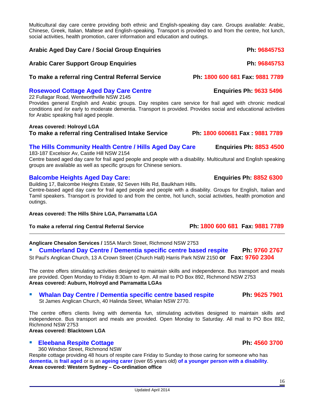Multicultural day care centre providing both ethnic and English-speaking day care. Groups available: Arabic, Chinese, Greek, Italian, Maltese and English-speaking. Transport is provided to and from the centre, hot lunch, social activities, health promotion, carer information and education and outings.

#### **Arabic Aged Day Care / Social Group Enquiries Ph: 96845753**

#### **Arabic Carer Support Group Enquiries Ph: 96845753**

## **To make a referral ring Central Referral Service Ph: 1800 600 681 Fax: 9881 7789**

#### **Rosewood Cottage Aged Day Care Centre Francisco Enquiries Ph: 9633 5496**

22 Fullagar Road, Wentworthville NSW 2145

Provides general English and Arabic groups. Day respites care service for frail aged with chronic medical conditions and /or early to moderate dementia. Transport is provided. Provides social and educational activities for Arabic speaking frail aged people.

#### **Areas covered: Holroyd LGA To make a referral ring Centralised Intake Service Ph: 1800 600681 Fax : 9881 7789**

### **The Hills Community Health Centre / Hills Aged Day Care Enquiries Ph: 8853 4500**

183-187 Excelsior Av, Castle Hill NSW 2154 Centre based aged day care for frail aged people and people with a disability. Multicultural and English speaking groups are available as well as specific groups for Chinese seniors.

### **Balcombe Heights Aged Day Care: Enquiries Ph: 8852 6300**

Building 17, Balcombe Heights Estate, 92 Seven Hills Rd, Baulkham Hills.

Centre-based aged day care for frail aged people and people with a disability. Groups for English, Italian and Tamil speakers. Transport is provided to and from the centre, hot lunch, social activities, health promotion and outings.

#### **Areas covered: The Hills Shire LGA, Parramatta LGA**

**To make a referral ring Central Referral Service Ph: 1800 600 681 Fax: 9881 7789** 

**Anglicare Chesalon Services /** 155A March Street, Richmond NSW 2753

 **Cumberland Day Centre / Dementia specific centre based respite Ph: 9760 2767**  St Paul's Anglican Church, 13 A Crown Street (Church Hall) Harris Park NSW 2150 **or Fax: 9760 2304**

The centre offers stimulating activities designed to maintain skills and independence. Bus transport and meals are provided. Open Monday to Friday 8:30am to 4pm. All mail to PO Box 892, Richmond NSW 2753 **Areas covered: Auburn, Holroyd and Parramatta LGAs** 

#### **Whalan Day Centre / Dementia specific centre based respite Ph: 9625 7901** St James Anglican Church, 40 Halinda Street, Whalan NSW 2770.

The centre offers clients living with dementia fun, stimulating activities designed to maintain skills and independence. Bus transport and meals are provided. Open Monday to Saturday. All mail to PO Box 892, Richmond NSW 2753

## **Areas covered: Blacktown LGA**

### **Eleebana Respite Cottage Ph: 4560 3700 Ph: 4560 3700**

360 Windsor Street, Richmond NSW

Respite cottage providing 48 hours of respite care Friday to Sunday to those caring for someone who has **dementia**, is **frail aged** or is an **ageing carer** (over 65 years old) **of a younger person with a disability**. **Areas covered: Western Sydney – Co-ordination office**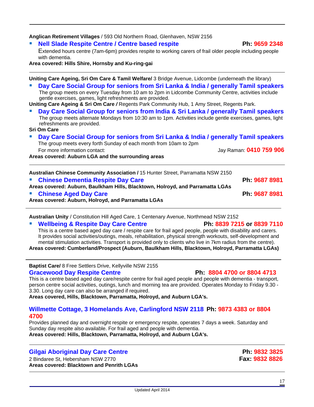**Anglican Retirement Villages** / 593 Old Northern Road, Glenhaven, NSW 2156

**Nell Slade Respite Centre / Centre based respite Ph: 9659 2348**

Extended hours centre (7am-6pm) provides respite to working carers of frail older people including people with dementia.

**Area covered: Hills Shire, Hornsby and Ku-ring-gai** 

**Uniting Care Ageing, Sri Om Care & Tamil Welfare/** 3 Bridge Avenue, Lidcombe (underneath the library) **Day Care Social Group for seniors from Sri Lanka & India / generally Tamil speakers** The group meets on every Tuesday from 10 am to 2pm in Lidcombe Community Centre, activities include gentle exercises, games, light refreshments are provided. **Uniting Care Ageing & Sri Om Care** */* Regents Park Community Hub, 1 Amy Street, Regents Park. **Day Care Social Group for seniors from India & Sri Lanka / generally Tamil speakers**  The group meets alternate Mondays from 10:30 am to 1pm. Activities include gentle exercises, games, light refreshments are provided. **Sri Om Care Day Care Social Group for seniors from Sri Lanka & India / generally Tamil speakers**  The group meets every forth Sunday of each month from 10am to 2pm For more information contact: Jay Raman: **0410 759 906 Areas covered: Auburn LGA and the surrounding areas** 

**Australian Chinese Community Association /** 15 Hunter Street, Parramatta NSW 2150 **Example 3 Chinese Dementia Respite Day Care Ph: 9687 8981 Areas covered: Auburn, Baulkham Hills, Blacktown, Holroyd, and Parramatta LGAs Chinese Aged Day Care Ph: 9687 8981 Areas covered: Auburn, Holroyd, and Parramatta LGAs**

**Australian Unity** / Constitution Hill Aged Care, 1 Centenary Avenue, Northmead NSW 2152

#### **Wellbeing & Respite Day Care Centre Ph: 8839 7215 or 8839 7110**

This is a centre based aged day care / respite care for frail aged people, people with disability and carers. It provides social activities/outings, meals, rehabilitation, physical strength workouts, self-development and mental stimulation activities. Transport is provided only to clients who live in 7km radius from the centre). **Areas covered: Cumberland/Prospect (Auburn, Baulkham Hills, Blacktown, Holroyd, Parramatta LGAs)** 

**Baptist Care/** 8 Free Settlers Drive, Kellyville NSW 2155 **Gracewood Day Respite Centre Ph: 8804 4700 or 8804 4713**

This is a centre based aged day care/respite centre for frail aged people and people with dementia - transport, person centre social activities, outings, lunch and morning tea are provided. Operates Monday to Friday 9.30 - 3.30. Long day care can also be arranged if required.

**Areas covered, Hills, Blacktown, Parramatta, Holroyd, and Auburn LGA's.**

#### **Willmette Cottage, 3 Homelands Ave, Carlingford NSW 2118 Ph: 9873 4383 or 8804 4700**

Provides planned day and overnight respite or emergency respite, operates 7 days a week. Saturday and Sunday day respite also available. For frail aged and people with dementia. **Areas covered: Hills, Blacktown, Parramatta, Holroyd, and Auburn LGA's.**

### **Gilgai Aboriginal Day Care Centre** *Ph:* **9832 3825 <b>Ph:** 9832 3825

2 Bindaree St, Hebersham NSW 2770**Fax: 9832 8826 Areas covered: Blacktown and Penrith LGAs**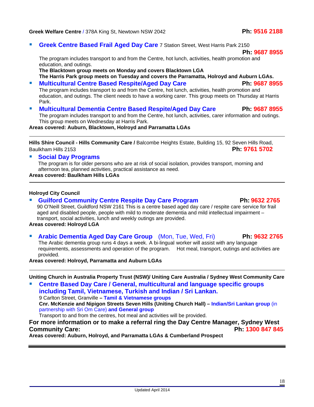#### **Greek Welfare Centre** / 378A King St, Newtown NSW 2042**Ph: 9516 2188**

**Greek Centre Based Frail Aged Day Care 7 Station Street, West Harris Park 2150** 

The program includes transport to and from the Centre, hot lunch, activities, health promotion and education, and outings.

**The Blacktown group meets on Monday and covers Blacktown LGA The Harris Park group meets on Tuesday and covers the Parramatta, Holroyd and Auburn LGAs.** 

- **Multicultural Centre Based Respite/Aged Day Care Ph: 9687 8955** The program includes transport to and from the Centre, hot lunch, activities, health promotion and education, and outings. The client needs to have a working carer. This group meets on Thursday at Harris Park.
- **Multicultural Dementia Centre Based Respite/Aged Day Care Ph: 9687 8955** The program includes transport to and from the Centre, hot lunch, activities, carer information and outings. This group meets on Wednesday at Harris Park.

#### **Areas covered: Auburn, Blacktown, Holroyd and Parramatta LGAs**

**Hills Shire Council - Hills Community Care /** Balcombe Heights Estate, Building 15, 92 Seven Hills Road, Baulkham Hills 2153 **Ph: 9761 5702**

#### **Social Day Programs**

The program is for older persons who are at risk of social isolation, provides transport, morning and afternoon tea, planned activities, practical assistance as need.

#### **Areas covered: Baulkham Hills LGAs**

#### **Holroyd City Council**

 **Guilford Community Centre Respite Day Care Program Ph: 9632 2765**  90 O'Neill Street, Guildford NSW 2161 This is a centre based aged day care / respite care service for frail aged and disabled people, people with mild to moderate dementia and mild intellectual impairment – transport, social activities, lunch and weekly outings are provided. **Areas covered: Holroyd LGA** 

 **Arabic Dementia Aged Day Care Group** (Mon, Tue, Wed, Fri) **Ph: 9632 2765** The Arabic dementia group runs 4 days a week. A bi-lingual worker will assist with any language requirements, assessments and operation of the program. Hot meal, transport, outings and activities are provided.

**Areas covered: Holroyd, Parramatta and Auburn LGAs** 

**Uniting Church in Australia Property Trust (NSW)/ Uniting Care Australia / Sydney West Community Care** 

 **Centre Based Day Care / General, multicultural and language specific groups including Tamil, Vietnamese, Turkish and Indian / Sri Lankan.**  9 Carlton Street, Granville **– Tamil & Vietnamese groups Cnr. McKenzie and Nipigon Streets Seven Hills (Uniting Church Hall) – Indian/Sri Lankan group** (in partnership with Sri Om Care) **and General group**  Transport to and from the centres, hot meal and activities will be provided.

#### **For more information or to make a referral ring the Day Centre Manager, Sydney West Community Care: Ph: 1300 847 845**

**Areas covered: Auburn, Holroyd, and Parramatta LGAs & Cumberland Prospect** 

 **Ph: 9687 8955**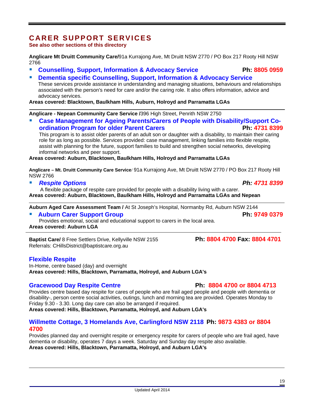## **CARER SUPPORT SERVICES**

**See also other sections of this directory** 

**Anglicare Mt Druitt Community Care/**91a Kurrajong Ave, Mt Druitt NSW 2770 / PO Box 217 Rooty Hill NSW 2766

- **Counselling, Support, Information & Advocacy Service Ph: 8805 0959**
- **Dementia specific Counselling, Support, Information & Advocacy Service**  These services provide assistance in understanding and managing situations, behaviours and relationships associated with the person's need for care and/or the caring role. It also offers information, advice and advocacy services.

**Areas covered: Blacktown, Baulkham Hills, Auburn, Holroyd and Parramatta LGAs** 

**Anglicare - Nepean Community Care Service /**396 High Street, Penrith NSW 2750

 **Case Management for Ageing Parents/Carers of People with Disability/Support Coordination Program for older Parent Carers Ph: 4731 8399** 

 This program is to assist older parents of an adult son or daughter with a disability, to maintain their caring role for as long as possible. Services provided: case management, linking families into flexible respite, assist with planning for the future, support families to build and strengthen social networks, developing informal networks and peer support.

**Areas covered: Auburn, Blacktown, Baulkham Hills, Holroyd and Parramatta LGAs** 

**Anglicare – Mt. Druitt Community Care Service**/ 91a Kurrajong Ave, Mt Druitt NSW 2770 / PO Box 217 Rooty Hill NSW 2766

*Respite Options Ph: 4731 8399*

 A flexible package of respite care provided for people with a disability living with a carer. **Areas covered: Auburn, Blacktown, Baulkham Hills, Holroyd and Parramatta LGAs and Nepean** 

**Auburn Aged Care Assessment Team /** At St Joseph's Hospital, Normanby Rd, Auburn NSW 2144

**Auburn Carer Support Group Auburn 2018** Ph: 9749 0379

Provides emotional, social and educational support to carers in the local area. **Areas covered: Auburn LGA** 

**Baptist Care/** 8 Free Settlers Drive, Kellyville NSW 2155 **Ph: 8804 4700 Fax: 8804 4701** Referrals: CHillsDistrict@baptistcare.org.au

#### **Flexible Respite**

In-Home, centre based (day) and overnight **Areas covered: Hills, Blacktown, Parramatta, Holroyd, and Auburn LGA's**

### Gracewood Day Respite Centre **Ph: 8804 4700 or 8804 4713**

Provides centre based day respite for cares of people who are frail aged people and people with dementia or disability-, person centre social activities, outings, lunch and morning tea are provided. Operates Monday to Friday 9.30 - 3.30. Long day care can also be arranged if required.

**Areas covered: Hills, Blacktown, Parramatta, Holroyd, and Auburn LGA's**

### **Willmette Cottage, 3 Homelands Ave, Carlingford NSW 2118 Ph: 9873 4383 or 8804 4700**

Provides planned day and overnight respite or emergency respite for carers of people who are frail aged, have dementia or disability, operates 7 days a week. Saturday and Sunday day respite also available. **Areas covered: Hills, Blacktown, Parramatta, Holroyd, and Auburn LGA's**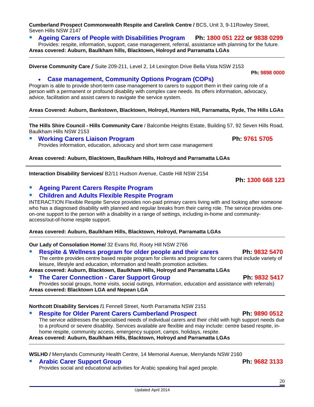**Cumberland Prospect Commonwealth Respite and Carelink Centre /** BCS, Unit 3, 9-11Rowley Street, Seven Hills NSW 2147

### **Ageing Carers of People with Disabilities Program Ph: 1800 051 222 or 9838 0299**

Provides: respite, information, support, case management, referral, assistance with planning for the future. **Areas covered: Auburn, Baulkham hills, Blacktown, Holroyd and Parramatta LGAs** 

**Diverse Community Care /** Suite 209-211, Level 2, 14 Lexington Drive Bella Vista NSW 2153

• **Case management, Community Options Program (COPs)**

Program is able to provide short-term case management to carers to support them in their caring role of a person with a permanent or profound disability with complex care needs. Its offers information, advocacy, advice, facilitation and assist carers to navigate the service system.

#### **Areas Covered: Auburn, Bankstown, Blacktown, Holroyd, Hunters Hill, Parramatta, Ryde, The Hills LGAs**

**The Hills Shire Council - Hills Community Care** / Balcombe Heights Estate, Building 57, 92 Seven Hills Road, Baulkham Hills NSW 2153

 **Working Carers Liaison Program Ph: 9761 5705** Provides information, education, advocacy and short term case management

**Areas covered: Auburn, Blacktown, Baulkham Hills, Holroyd and Parramatta LGAs** 

**Interaction Disability Services/** B2/11 Hudson Avenue, Castle Hill NSW 2154

### **Ageing Parent Carers Respite Program**

#### **Children and Adults Flexible Respite Program**

INTERACTION Flexible Respite Service provides non-paid primary carers living with and looking after someone who has a diagnosed disability with planned and regular breaks from their caring role. The service provides oneon-one support to the person with a disability in a range of settings, including in-home and communityaccess/out-of-home respite support.

**Areas covered: Auburn, Baulkham Hills, Blacktown, Holroyd, Parramatta LGAs**

**Our Lady of Consolation Home/** 32 Evans Rd, Rooty Hill NSW 2766

- **Respite & Wellness program for older people and their carers Ph: 9832 5470** The centre provides centre based respite program for clients and programs for carers that include variety of leisure, lifestyle and education, information and health promotion activities.
- **Areas covered: Auburn, Blacktown, Baulkham Hills, Holroyd and Parramatta LGAs The Carer Connection - Carer Support Group The Carer Support Group Ph: 9832 5417**

Provides social groups, home visits, social outings, information, education and assistance with referrals) **Areas covered: Blacktown LGA and Nepean LGA** 

**Northcott Disability Services /**1 Fennell Street, North Parramatta NSW 2151

 **Respite for Older Parent Carers Cumberland Prospect Ph: 9890 0512** The service addresses the specialised needs of individual carers and their child with high support needs due to a profound or severe disability. Services available are flexible and may include: centre based respite, inhome respite, community access, emergency support, camps, holidays, respite. **Areas covered: Auburn, Baulkham Hills, Blacktown, Holroyd and Parramatta LGAs** 

**WSLHD /** Merrylands Community Health Centre, 14 Memorial Avenue, Merrylands NSW 2160

### Arabic Carer Support Group **Ph:** 9682 3133

Provides social and educational activities for Arabic speaking frail aged people.

 **Ph: 1300 668 123**

**Ph: 9898 0000** 

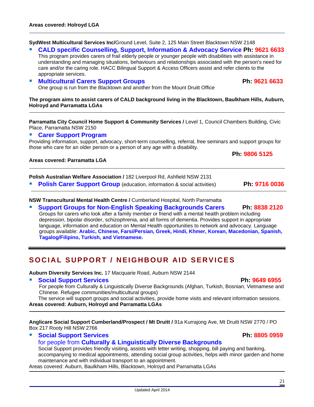**SydWest Multicultural Services Inc/**Ground Level, Suite 2, 125 Main Street Blacktown NSW 2148

#### **CALD specific Counselling, Support, Information & Advocacy Service Ph: 9621 6633**

This program provides carers of frail elderly people or younger people with disabilities with assistance in understanding and managing situations, behaviours and relationships associated with the person's need for care and/or the caring role. HACC Bilingual Support & Access Officers assist and refer clients to the appropriate services.

#### **Multicultural Carers Support Groups Access Ph: 9621 6633**

One group is run from the Blacktown and another from the Mount Druitt Office

**The program aims to assist carers of CALD background living in the Blacktown, Baulkham Hills, Auburn, Holroyd and Parramatta LGAs** 

**Parramatta City Council Home Support & Community Services /** Level 1, Council Chambers Building, Civic Place, Parramatta NSW 2150

#### **Carer Support Program**

Providing information, support, advocacy, short-term counselling, referral, free seminars and support groups for those who care for an older person or a person of any age with a disability.

#### **Areas covered: Parramatta LGA**

**Polish Australian Welfare Association /** 182 Liverpool Rd, Ashfield NSW 2131

**Polish Carer Support Group** (education, information & social activities) **Ph: 9716 0036** 

**Ph: 9806 5125** 

**NSW Transcultural Mental Health Centre /** Cumberland Hospital, North Parramatta

 **Support Groups for Non-English Speaking Backgrounds Carers Ph: 8838 2120** Groups for carers who look after a family member or friend with a mental health problem including depression, bipolar disorder, schizophrenia, and all forms of dementia. Provides support in appropriate language, information and education on Mental Health opportunities to network and advocacy. Language groups available: **Arabic, Chinese, Farsi/Persian, Greek, Hindi, Khmer, Korean, Macedonian, Spanish, Tagalog/Filipino, Turkish, and Vietnamese.**

## **SOCIAL SUPPORT / NEIGHBOUR AID SERVICES**

**Auburn Diversity Services Inc.** 17 Macquarie Road, Auburn NSW 2144

#### **Social Support Services Ph: 9649 6955**

For people from Culturally & Linguistically Diverse Backgrounds (Afghan, Turkish, Bosnian, Vietnamese and Chinese. Refugee communities/multicultural groups)

The service will support groups and social activities, provide home visits and relevant information sessions. **Areas covered: Auburn, Holroyd and Parramatta LGAs** 

**Anglicare Social Support Cumberland/Prospect / Mt Druitt /** 91a Kurrajong Ave, Mt Druitt NSW 2770 / PO Box 217 Rooty Hill NSW 2766

#### **Social Support Services Ph: 8805 0959**

### for people from **Culturally & Linguistically Diverse Backgrounds**

Social Support provides friendly visiting, assists with letter writing, shopping, bill paying and banking, accompanying to medical appointments, attending social group activities, helps with minor garden and home maintenance and with individual transport to an appointment.

Areas covered: Auburn, Baulkham Hills, Blacktown, Holroyd and Parramatta LGAs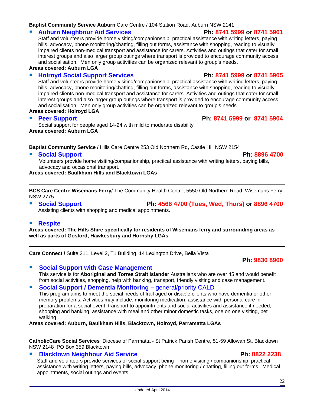#### **Baptist Community Service Auburn** Care Centre / 104 Station Road, Auburn NSW 2141

#### **Auburn Neighbour Aid Services Ph: 8741 5999 or 8741 5901**

Staff and volunteers provide home visiting/companionship, practical assistance with writing letters, paying bills, advocacy, phone monitoring/chatting, filling out forms, assistance with shopping, reading to visually impaired clients non-medical transport and assistance for carers. Activities and outings that cater for small interest groups and also larger group outings where transport is provided to encourage community access and socialisation. Men only group activities can be organized relevant to group's needs.

**Areas covered: Auburn LGA** 

#### **Holroyd Social Support Services Ph: 8741 5999 or 8741 5905**

Staff and volunteers provide home visiting/companionship, practical assistance with writing letters, paying bills, advocacy, phone monitoring/chatting, filling out forms, assistance with shopping, reading to visually impaired clients non-medical transport and assistance for carers. Activities and outings that cater for small interest groups and also larger group outings where transport is provided to encourage community access and socialisation. Men only group activities can be organized relevant to group's needs.

**Areas covered: Holroyd LGA** 

Social support for people aged 14-24 with mild to moderate disability **Areas covered: Auburn LGA** 

**Baptist Community Service /** Hills Care Centre 253 Old Northern Rd, Castle Hill NSW 2154

#### **Social Support Ph: 8896 4700**

Volunteers provide home visiting/companionship, practical assistance with writing letters, paying bills, advocacy and occasional transport.

**Areas covered: Baulkham Hills and Blacktown LGAs** 

**BCS Care Centre Wisemans Ferry/** The Community Health Centre, 5550 Old Northern Road, Wisemans Ferry, NSW 2775

 **Social Support Ph: 4566 4700 (Tues, Wed, Thurs) or 8896 4700** Assisting clients with shopping and medical appointments.

#### **Respite**

**Areas covered: The Hills Shire specifically for residents of Wisemans ferry and surrounding areas as well as parts of Gosford, Hawkesbury and Hornsby LGAs.** 

**Care Connect /** Suite 211, Level 2, T1 Building, 14 Lexington Drive, Bella Vista

## **Ph: 9830 8900**

 **Social Support with Case Management**  This service is for **Aboriginal and Torres Strait Islander** Australians who are over 45 and would benefit from social activities, shopping, help with banking, transport, friendly visiting and case management.

**Social Support / Dementia Monitoring – general/priority CALD** 

This program aims to meet the social needs of frail aged or disable clients who have dementia or other memory problems. Activities may include: monitoring medication, assistance with personal care in preparation for a social event, transport to appointments and social activities and assistance if needed, shopping and banking, assistance with meal and other minor domestic tasks, one on one visiting, pet walking.

**Areas covered: Auburn, Baulkham Hills, Blacktown, Holroyd, Parramatta LGAs** 

**CatholicCare Social Services** Diocese of Parrmatta - St Patrick Parish Centre, 51-59 Allowah St, Blacktown NSW 2148 PO Box 359 Blacktown

#### **Blacktown Neighbour Aid Service Ph: 8822 2238 Ph:** 8822 2238

Staff and volunteers provide services of social support being : home visiting / companionship, practical assistance with writing letters, paying bills, advocacy, phone monitoring / chatting, filling out forms. Medical appointments, social outings and events.

**Peer Support Ph: 8741 5999 or 8741 5904**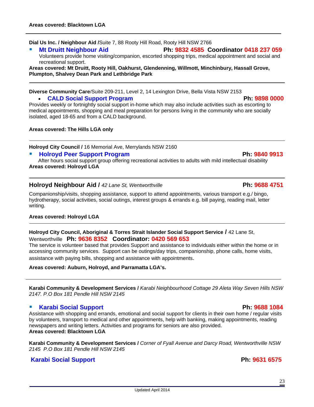**Dial Us Inc. / Neighbour Aid /**Suite 7, 88 Rooty Hill Road, Rooty Hill NSW 2766

## **Mt Druitt Neighbour Aid Ph: 9832 4585 Coordinator 0418 237 059**

Volunteers provide home visiting/companion, escorted shopping trips, medical appointment and social and recreational support.

**Areas covered: Mt Druitt, Rooty Hill, Oakhurst, Glendenning, Willmott, Minchinbury, Hassall Grove, Plumpton, Shalvey Dean Park and Lethbridge Park** 

#### **Diverse Community Care/**Suite 209-211, Level 2, 14 Lexington Drive, Bella Vista NSW 2153

#### • **CALD Social Support Program Ph: 9898 0000**

Provides weekly or fortnightly social support in-home which may also include activities such as escorting to medical appointments, shopping and meal preparation for persons living in the community who are socially isolated, aged 18-65 and from a CALD background.

#### **Areas covered: The Hills LGA only**

**Holroyd City Council /** 16 Memorial Ave, Merrylands NSW 2160

**Holroyd Peer Support Program Ph: 9840 9913**

After hours social support group offering recreational activities to adults with mild intellectual disability **Areas covered: Holroyd LGA** 

#### **Holroyd Neighbour Aid /** *42 Lane St, Wentworthville* **Ph: 9688 4751**

Companionship/visits, shopping assistance, support to attend appointments, various transport e.g./ bingo, hydrotherapy, social activities, social outings, interest groups & errands e.g. bill paying, reading mail, letter writing.

#### **Areas covered: Holroyd LGA**

**Holroyd City Council, Aboriginal & Torres Strait Islander Social Support Service /** 42 Lane St, Wentworthville **Ph: 9636 8352 Coordinator: 0420 569 653** 

The service is volunteer based that provides Support and assistance to individuals either within the home or in accessing community services. Support can be outings/day trips, companionship, phone calls, home visits, assistance with paying bills, shopping and assistance with appointments.

#### **Areas covered: Auburn, Holroyd, and Parramatta LGA's.**

**Karabi Community & Development Services /** *Karabi Neighbourhood Cottage 29 Aleta Way Seven Hills NSW 2147. P.O Box 181 Pendle Hill NSW 2145* 

#### **Karabi Social Support Ph: 9688 1084**

Assistance with shopping and errands, emotional and social support for clients in their own home / regular visits by volunteers, transport to medical and other appointments, help with banking, making appointments, reading newspapers and writing letters. Activities and programs for seniors are also provided. **Areas covered: Blacktown LGA** 

**Karabi Community & Development Services /** *Corner of Fyall Avenue and Darcy Road, Wentworthville NSW 2145 P.O Box 181 Pendle Hill NSW 2145* 

### **Karabi Social Support Ph: 9631 6575**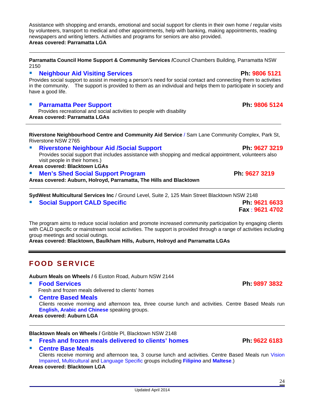Assistance with shopping and errands, emotional and social support for clients in their own home / regular visits by volunteers, transport to medical and other appointments, help with banking, making appointments, reading newspapers and writing letters. Activities and programs for seniors are also provided. **Areas covered: Parramatta LGA**

**Parramatta Council Home Support & Community Services /**Council Chambers Building, Parramatta NSW 2150

#### **Neighbour Aid Visiting Services Ph: 9806 5121**

Provides social support to assist in meeting a person's need for social contact and connecting them to activities in the community. The support is provided to them as an individual and helps them to participate in society and have a good life.

#### **Parramatta Peer Support Ph: 9806 5124**

Provides recreational and social activities to people with disability **Areas covered: Parramatta LGAs** 

**Riverstone Neighbourhood Centre and Community Aid Service** / Sam Lane Community Complex, Park St, Riverstone NSW 2765

#### **Riverstone Neighbour Aid /Social Support Ph: 9627 3219**

Provides social support that includes assistance with shopping and medical appointment, volunteers also visit people in their homes.)

#### **Areas covered: Blacktown LGAs**

#### **Men's Shed Social Support Program Ph: 9627 3219**

**Areas covered: Auburn, Holroyd, Parramatta, The Hills and Blacktown** 

**SydWest Multicultural Services Inc** / Ground Level, Suite 2, 125 Main Street Blacktown NSW 2148

**Social Support CALD Specific Ph: 9621 6633**

The program aims to reduce social isolation and promote increased community participation by engaging clients with CALD specific or mainstream social activities. The support is provided through a range of activities including group meetings and social outings.

**Areas covered: Blacktown, Baulkham Hills, Auburn, Holroyd and Parramatta LGAs** 

## **FOOD SERVICE**

**Auburn Meals on Wheels /** 6 Euston Road, Auburn NSW 2144

**Food Services Ph: 9897 3832** 

Fresh and frozen meals delivered to clients' homes

**Centre Based Meals** 

Clients receive morning and afternoon tea, three course lunch and activities. Centre Based Meals run **English, Arabic and Chinese** speaking groups.

**Areas covered: Auburn LGA** 

**Blacktown Meals on Wheels /** Gribble Pl, Blacktown NSW 2148

- **Fresh and frozen meals delivered to clients' homes Ph: 9622 6183**
- **Centre Base Meals**  Clients receive morning and afternoon tea, 3 course lunch and activities. Centre Based Meals run Vision Impaired, Multicultural and Language Specific groups including **Filipino** and **Maltese**.) **Areas covered: Blacktown LGA**

 **Fax** : **9621 4702**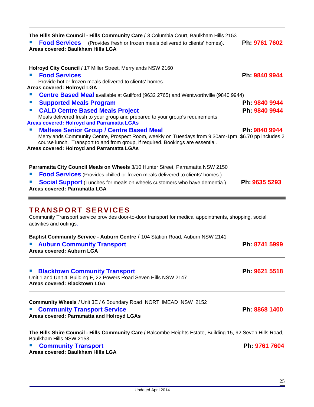| The Hills Shire Council - Hills Community Care / 3 Columbia Court, Baulkham Hills 2153<br><b>Food Services</b><br>(Provides fresh or frozen meals delivered to clients' homes).<br>Areas covered: Baulkham Hills LGA                                                                         | Ph: 9761 7602 |
|----------------------------------------------------------------------------------------------------------------------------------------------------------------------------------------------------------------------------------------------------------------------------------------------|---------------|
| Holroyd City Council / 17 Miller Street, Merrylands NSW 2160<br><b>Food Services</b><br>Provide hot or frozen meals delivered to clients' homes.<br>Areas covered: Holroyd LGA                                                                                                               | Ph: 9840 9944 |
| <b>Centre Based Meal</b> available at Guilford (9632 2765) and Wentworthville (9840 9944)<br>$\mathcal{L}_{\mathcal{A}}$                                                                                                                                                                     |               |
| <b>Supported Meals Program</b><br>$\mathcal{L}_{\mathcal{A}}$                                                                                                                                                                                                                                | Ph. 9840 9944 |
| <b>CALD Centre Based Meals Project</b><br>$\mathcal{L}_{\mathcal{A}}$<br>Meals delivered fresh to your group and prepared to your group's requirements.<br><b>Areas covered: Holroyd and Parramatta LGAs</b>                                                                                 | Ph: 9840 9944 |
| <b>Maltese Senior Group / Centre Based Meal</b><br>Merrylands Community Centre, Prospect Room, weekly on Tuesdays from 9:30am-1pm, \$6.70 pp includes 2<br>course lunch. Transport to and from group, if required. Bookings are essential.<br>Areas covered: Holroyd and Parramatta LGAs     | Ph. 9840 9944 |
| Parramatta City Council Meals on Wheels 3/10 Hunter Street, Parramatta NSW 2150<br><b>Food Services</b> (Provides chilled or frozen meals delivered to clients' homes.)<br><b>Social Support</b> (Lunches for meals on wheels customers who have dementia.)<br>Areas covered: Parramatta LGA | Ph: 9635 5293 |
| <b>TRANSPORT SERVICES</b><br>Community Transport service provides door-to-door transport for medical appointments, shopping, social<br>activities and outings.                                                                                                                               |               |
| Baptist Community Service - Auburn Centre / 104 Station Road, Auburn NSW 2141<br><b>Auburn Community Transport</b><br>Areas covered: Auburn LGA                                                                                                                                              | Ph 8741 5999  |
| <b>Blacktown Community Transport</b><br>Unit 1 and Unit 4, Building F, 22 Powers Road Seven Hills NSW 2147<br>Areas covered: Blacktown LGA                                                                                                                                                   | Ph: 9621 5518 |
| Community Wheels / Unit 3E / 6 Boundary Road NORTHMEAD NSW 2152<br><b>Community Transport Service</b><br>Areas covered: Parramatta and Holroyd LGAs                                                                                                                                          | Ph: 8868 1400 |
| The Hills Shire Council - Hills Community Care / Balcombe Heights Estate, Building 15, 92 Seven Hills Road,<br>Baulkham Hills NSW 2153<br><b>Community Transport</b><br>Areas covered: Baulkham Hills LGA                                                                                    | Ph. 9761 7604 |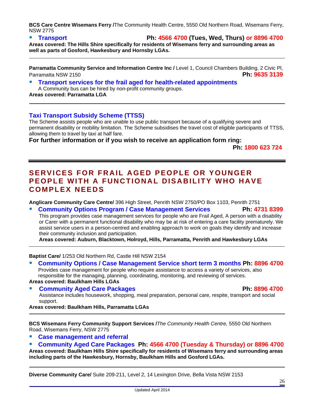**BCS Care Centre Wisemans Ferry /**The Community Health Centre, 5550 Old Northern Road, Wisemans Ferry, NSW 2775

**Transport Ph: 4566 4700 (Tues, Wed, Thurs) or 8896 4700**

**Areas covered: The Hills Shire specifically for residents of Wisemans ferry and surrounding areas as well as parts of Gosford, Hawkesbury and Hornsby LGAs.** 

**Parramatta Community Service and Information Centre Inc / Level 1, Council Chambers Building, 2 Civic Pl,** Parramatta NSW 2150 **Ph: 9635 3139**

### **Transport services for the frail aged for health-related appointments**

A Community bus can be hired by non-profit community groups. **Areas covered: Parramatta LGA**

### **Taxi Transport Subsidy Scheme (TTSS)**

The Scheme assists people who are unable to use public transport because of a qualifying severe and permanent disability or mobility limitation. The Scheme subsidises the travel cost of eligible participants of TTSS, allowing them to travel by taxi at half fare.

**For further information or if you wish to receive an application form ring:** 

 **Ph: 1800 623 724**

## **SERVICES FOR FRAIL AGED PEOPLE OR YOUNGER PEOPLE WITH A FUNCTIONAL DISABILITY WHO HAVE COMPLEX NEEDS**

**Anglicare Community Care Centre/** 396 High Street, Penrith NSW 2750/PO Box 1103, Penrith 2751

 **Community Options Program / Case Management Services Ph: 4731 8399** This program provides case management services for people who are Frail Aged, A person with a disability or Carer with a permanent functional disability who may be at risk of entering a care facility prematurely. We assist service users in a person-centred and enabling approach to work on goals they identify and increase their community inclusion and participation.

**Areas covered: Auburn, Blacktown, Holroyd, Hills, Parramatta, Penrith and Hawkesbury LGAs**

**Baptist Care/** 1/253 Old Northern Rd, Castle Hill NSW 2154

- **Community Options / Case Management Service short term 3 months Ph: 8896 4700** Provides case management for people who require assistance to access a variety of services, also responsible for the managing, planning, coordinating, monitoring, and reviewing of services. **Areas covered: Baulkham Hills LGAs**
- **Community Aged Care Packages Ph: 8896 4700**

Assistance includes housework, shopping, meal preparation, personal care, respite, transport and social support.

**Areas covered: Baulkham Hills, Parramatta LGAs** 

**BCS Wisemans Ferry Community Support Services /***The Community Health Centre,* 5550 Old Northern Road, Wisemans Ferry, NSW 2775

- **Case management and referral**
- **Community Aged Care Packages Ph: 4566 4700 (Tuesday & Thursday) or 8896 4700**

**Areas covered: Baulkham Hills Shire specifically for residents of Wisemans ferry and surrounding areas including parts of the Hawkesbury, Hornsby, Baulkham Hills and Gosford LGAs.** 

**Diverse Community Care/** Suite 209-211, Level 2, 14 Lexington Drive, Bella Vista NSW 2153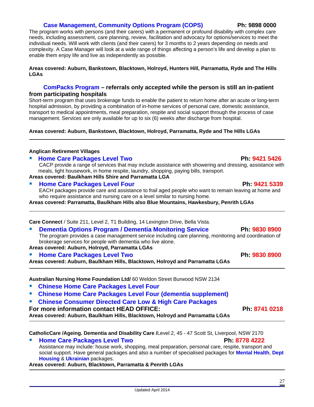#### **Case Management, Community Options Program (COPS) Ph: 9898 0000**

The program works with persons (and their carers) with a permanent or profound disability with complex care needs, including assessment, care planning, review, facilitation and advocacy for options/services to meet the individual needs. Will work with clients (and their carers) for 3 months to 2 years depending on needs and complexity. A Case Manager will look at a wide range of things affecting a person's life and develop a plan to enable them enjoy life and live as independently as possible.

#### **Areas covered: Auburn, Bankstown, Blacktown, Holroyd, Hunters Hill, Parramatta, Ryde and The Hills LGAs**

#### **ComPacks Program – referrals only accepted while the person is still an in-patient from participating hospitals**

Short-term program that uses brokerage funds to enable the patient to return home after an acute or long-term hospital admission, by providing a combination of in-home services of personal care, domestic assistance, transport to medical appointments, meal preparation, respite and social support through the process of case management. Services are only available for up to six (6) weeks after discharge from hospital.

#### **Areas covered: Auburn, Bankstown, Blacktown, Holroyd, Parramatta, Ryde and The Hills LGAs**

#### **Anglican Retirement Villages**

**Home Care Packages Level Two Ph: 9421 5426** 

CACP provide a range of services that may include assistance with showering and dressing, assistance with meals, light housework, in home respite, laundry, shopping, paying bills, transport. **Areas covered: Baulkham Hills Shire and Parramatta LGA** 

#### **Home Care Packages Level Four Ph: 9421 5339**

 EACH packages provide care and assistance to frail aged people who want to remain leaving at home and who require assistance and nursing care on a level similar to nursing home.

**Areas covered: Parramatta, Baulkham Hills also Blue Mountains, Hawkesbury, Penrith LGAs** 

**Care Connect** / Suite 211, Level 2, T1 Building, 14 Lexington Drive, Bella Vista.

**Dementia Options Program / Dementia Monitoring Service Ph: 9830 8900** 

The program provides a case management service including care planning, monitoring and coordination of brokerage services for people with dementia who live alone.

**Areas covered: Auburn, Holroyd, Parramatta LGAs** 

**Home Care Packages Level Two Ph: 9830 8900** 

**Areas covered: Auburn, Baulkham Hills, Blacktown, Holroyd and Parramatta LGAs** 

**Australian Nursing Home Foundation Ltd/** 60 Weldon Street Burwood NSW 2134

- **Chinese Home Care Packages Level Four**
- **Chinese Home Care Packages Level Four (dementia supplement)**
- **Chinese Consumer Directed Care Low & High Care Packages**

**For more information contact HEAD OFFICE:** Ph: 8741 0218 Areas covered: Auburn, Baulkham Hills, Blacktown, Holroyd and Parramatta LGAs

#### **CatholicCare /Ageing. Dementia and Disability Care /**Level 2, 45 - 47 Scott St, Liverpool, NSW 2170

**Home Care Packages Level Two Ph: 8778 4222** Assistance may include: house work, shopping, meal preparation, personal care, respite, transport and social support. Have general packages and also a number of specialised packages for **Mental Health**, **Dept Housing** & **Ukrainian** packages.

#### **Areas covered: Auburn, Blacktown, Parramatta & Penrith LGAs**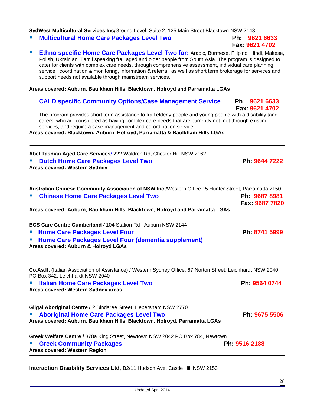Updated April 2014

**SydWest Multicultural Services Inc/**Ground Level, Suite 2, 125 Main Street Blacktown NSW 2148

**Multicultural Home Care Packages Level Two Ph: 9621 6633**

 **Ethno specific Home Care Packages Level Two for:** Arabic, Burmese, Filipino, Hindi, Maltese, Polish, Ukrainian, Tamil speaking frail aged and older people from South Asia. The program is designed to cater for clients with complex care needs, through comprehensive assessment, individual care planning, service coordination & monitoring, information & referral, as well as short term brokerage for services and support needs not available through mainstream services.

**Areas covered: Auburn, Baulkham Hills, Blacktown, Holroyd and Parramatta LGAs** 

### **CALD specific Community Options/Case Management Service Ph**: **9621 6633**

 **Fax: 9621 4702**  The program provides short term assistance to frail elderly people and young people with a disability [and carers] who are considered as having complex care needs that are currently not met through existing services, and require a case management and co-ordination service.

**Areas covered: Blacktown, Auburn, Holroyd, Parramatta & Baulkham Hills LGAs**

| Abel Tasman Aged Care Services/ 222 Waldron Rd, Chester Hill NSW 2162 |               |
|-----------------------------------------------------------------------|---------------|
| ■ Dutch Home Care Packages Level Two                                  | Ph. 9644 7222 |
| Areas covered: Western Sydney                                         |               |

| Australian Chinese Community Association of NSW Inc / Western Office 15 Hunter Street, Parramatta 2150                                          |                |
|-------------------------------------------------------------------------------------------------------------------------------------------------|----------------|
| <b>Chinese Home Care Packages Level Two</b>                                                                                                     | Ph. 9687 8981  |
|                                                                                                                                                 | Fax: 9687 7820 |
| Areas covered: Auburn, Baulkham Hills, Blacktown, Holroyd and Parramatta LGAs                                                                   |                |
| BCS Care Centre Cumberland / 104 Station Rd, Auburn NSW 2144                                                                                    |                |
| <b>Home Care Packages Level Four</b>                                                                                                            | Ph 8741 5999   |
| Home Care Packages Level Four (dementia supplement)<br>Areas covered: Auburn & Holroyd LGAs                                                     |                |
| Co.As.It. (Italian Association of Assistance) / Western Sydney Office, 67 Norton Street, Leichhardt NSW 2040<br>PO Box 342, Leichhardt NSW 2040 |                |
| <b>Italian Home Care Packages Level Two</b><br>$\mathcal{L}_{\mathcal{A}}$<br>Areas covered: Western Sydney areas                               | Ph: 9564 0744  |
| Gilgai Aboriginal Centre / 2 Bindaree Street, Hebersham NSW 2770                                                                                |                |
| <b>Aboriginal Home Care Packages Level Two</b>                                                                                                  | Ph: 9675 5506  |

**Greek Welfare Centre /** 378a King Street, Newtown NSW 2042 PO Box 784, Newtown

**Areas covered: Auburn, Baulkham Hills, Blacktown, Holroyd, Parramatta LGAs** 

**Greek Community Packages Access Ph: 9516 2188 Areas covered: Western Region** 

**Interaction Disability Services Ltd**, B2/11 Hudson Ave, Castle Hill NSW 2153

28

# **Fax: 9621 4702**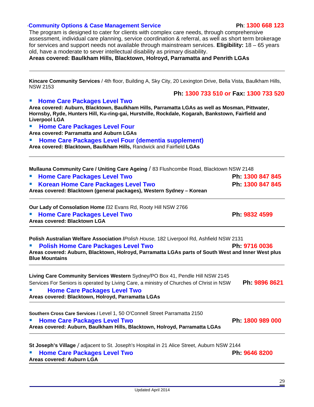#### ·**Community Options & Case Management Service Ph**: **1300 668 123**

The program is designed to cater for clients with complex care needs, through comprehensive assessment, individual care planning, service coordination & referral, as well as short term brokerage for services and support needs not available through mainstream services. **Eligibility:** 18 – 65 years old, have a moderate to sever intellectual disability as primary disability.

**Areas covered: Baulkham Hills, Blacktown, Holroyd, Parramatta and Penrith LGAs**

**Kincare Community Services** / 4th floor, Building A, Sky City, 20 Lexington Drive, Bella Vista, Baulkham Hills, NSW 2153

 **Ph: 1300 733 510 or Fax: 1300 733 520**

#### **Home Care Packages Level Two**

**Area covered: Auburn, Blacktown, Baulkham Hills, Parramatta LGAs as well as Mosman, Pittwater, Hornsby, Ryde, Hunters Hill, Ku-ring-gai, Hurstville, Rockdale, Kogarah, Bankstown, Fairfield and Liverpool LGA**

**Home Care Packages Level Four** 

**Area covered: Parramatta and Auburn LGAs**

**EXTER 15 Home Care Packages Level Four (dementia supplement) Area covered: Blacktown, Baulkham Hills,** Randwick and Fairfield **LGAs** 

|  | Mullauna Community Care / Uniting Care Ageing / 83 Flushcombe Road, Blacktown NSW 2148 |
|--|----------------------------------------------------------------------------------------|
|--|----------------------------------------------------------------------------------------|

| <b>E</b> Home Care Packages Level Two                                | Ph 1300 847 845  |
|----------------------------------------------------------------------|------------------|
| ■ Korean Home Care Packages Level Two                                | Ph: 1300 847 845 |
| Areas covered: Blacktown (general packages), Western Sydney - Korean |                  |

**Our Lady of Consolation Home /**32 Evans Rd, Rooty Hill NSW 2766

**Home Care Packages Level Two Ph: 9832 4599 Areas covered: Blacktown LGA** 

**Polish Australian Welfare Association /***Polish House,* 182 Liverpool Rd, Ashfield NSW 2131

| " Polish Home Care Packages Level Two                                                              | Ph 9716 0036 |
|----------------------------------------------------------------------------------------------------|--------------|
| Areas covered: Auburn, Blacktown, Holroyd, Parramatta LGAs parts of South West and Inner West plus |              |
| <b>Blue Mountains</b>                                                                              |              |
|                                                                                                    |              |

| Living Care Community Services Western Sydney/PO Box 41, Pendle Hill NSW 2145            |               |
|------------------------------------------------------------------------------------------|---------------|
| Services For Seniors is operated by Living Care, a ministry of Churches of Christ in NSW | Ph: 9896 8621 |
| <b>Home Care Packages Level Two</b>                                                      |               |
| Association of Blacktonic Halsen I Benness (HAA)                                         |               |

**Areas covered: Blacktown, Holroyd, Parramatta LGAs** 

| Southern Cross Care Services / Level 1, 50 O'Connell Street Parramatta 2150 |                  |
|-----------------------------------------------------------------------------|------------------|
| " Home Care Packages Level Two                                              | Ph: 1800 989 000 |
| Areas covered: Auburn, Baulkham Hills, Blacktown, Holroyd, Parramatta LGAs  |                  |

**St Joseph's Village** / adjacent to St. Joseph's Hospital in 21 Alice Street, Auburn NSW 2144

| <b>Entiry Home Care Packages Level Two</b> | Ph. 9646 8200 |
|--------------------------------------------|---------------|
| Areas covered: Auburn LGA                  |               |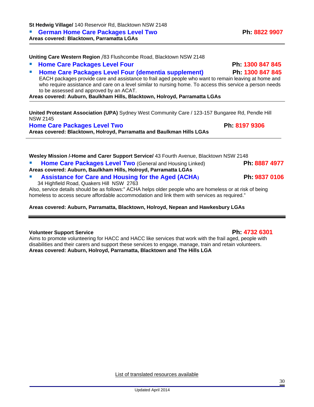List of translated resources available

Updated April 2014

**St Hedwig Village/** 140 Reservoir Rd, Blacktown NSW 2148

**Example 3 Terman Home Care Packages Level Two Ph: 8822 9907** 

**Areas covered: Blacktown, Parramatta LGAs** 

**Uniting Care Western Region** /83 Flushcombe Road, Blacktown NSW 2148

- **Home Care Packages Level Four Ph: 1300 847 845**
- **Home Care Packages Level Four (dementia supplement) Ph: 1300 847 845** EACH packages provide care and assistance to frail aged people who want to remain leaving at home and

who require assistance and care on a level similar to nursing home. To access this service a person needs to be assessed and approved by an ACAT.

**Areas covered: Auburn, Baulkham Hills, Blacktown, Holroyd, Parramatta LGAs** 

**United Protestant Association (UPA)** Sydney West Community Care / 123-157 Bungaree Rd, Pendle Hill NSW 2145

**Home Care Packages Level Two Ph: 8197 9306** 

**Areas covered: Blacktown, Holroyd, Parramatta and Baulkman Hills LGAs** 

| Wesley Mission /-Home and Carer Support Service/ 43 Fourth Avenue, Blacktown NSW 2148                                                                                                                     |               |
|-----------------------------------------------------------------------------------------------------------------------------------------------------------------------------------------------------------|---------------|
| Home Care Packages Level Two (General and Housing Linked)<br>Areas covered: Auburn, Baulkham Hills, Holroyd, Parramatta LGAs                                                                              | Ph: 8887 4977 |
| <b>Assistance for Care and Housing for the Aged (ACHA)</b><br>34 Highfield Road, Quakers Hill NSW 2763                                                                                                    | Ph 9837 0106  |
| Also, service details should be as follows:" ACHA helps older people who are homeless or at risk of being<br>homeless to access secure affordable accommodation and link them with services as required." |               |

#### **Areas covered: Auburn, Parramatta, Blacktown, Holroyd, Nepean and Hawkesbury LGAs**

#### **Volunteer Support Service** Ph: 4732 6301

Aims to promote volunteering for HACC and HACC like services that work with the frail aged, people with disabilities and their carers and support these services to engage, manage, train and retain volunteers. **Areas covered: Auburn, Holroyd, Parramatta, Blacktown and The Hills LGA**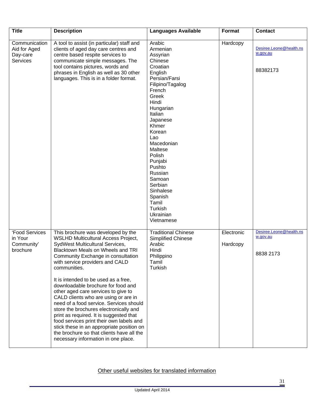| <b>Title</b>                                          | <b>Description</b>                                                                                                                                                                                                                                                                                                                                                                                                                                                                                                                                                                                                                                                                                                          | <b>Languages Available</b>                                                                                                                                                                                                                                                                                                                                     | Format                 | <b>Contact</b>                                   |
|-------------------------------------------------------|-----------------------------------------------------------------------------------------------------------------------------------------------------------------------------------------------------------------------------------------------------------------------------------------------------------------------------------------------------------------------------------------------------------------------------------------------------------------------------------------------------------------------------------------------------------------------------------------------------------------------------------------------------------------------------------------------------------------------------|----------------------------------------------------------------------------------------------------------------------------------------------------------------------------------------------------------------------------------------------------------------------------------------------------------------------------------------------------------------|------------------------|--------------------------------------------------|
| Communication<br>Aid for Aged<br>Day-care<br>Services | A tool to assist (in particular) staff and<br>clients of aged day care centres and<br>centre based respite services to<br>communicate simple messages. The<br>tool contains pictures, words and<br>phrases in English as well as 30 other<br>languages. This is in a folder format.                                                                                                                                                                                                                                                                                                                                                                                                                                         | Arabic<br>Armenian<br>Assyrian<br>Chinese<br>Croatian<br>English<br>Persian/Farsi<br>Filipino/Tagalog<br>French<br>Greek<br>Hindi<br>Hungarian<br>Italian<br>Japanese<br>Khmer<br>Korean<br>Lao<br>Macedonian<br>Maltese<br>Polish<br>Punjabi<br>Pushto<br>Russian<br>Samoan<br>Serbian<br>Sinhalese<br>Spanish<br>Tamil<br>Turkish<br>Ukrainian<br>Vietnamese | Hardcopy               | Desiree.Leone@health.ns<br>w.gov.au<br>88382173  |
| 'Food Services<br>in Your<br>Community'<br>brochure   | This brochure was developed by the<br><b>WSLHD Multicultural Access Project,</b><br>SydWest Multicultural Services,<br>Blacktown Meals on Wheels and TRI<br>Community Exchange in consultation<br>with service providers and CALD<br>communities.<br>It is intended to be used as a free,<br>downloadable brochure for food and<br>other aged care services to give to<br>CALD clients who are using or are in<br>need of a food service. Services should<br>store the brochures electronically and<br>print as required. It is suggested that<br>food services print their own labels and<br>stick these in an appropriate position on<br>the brochure so that clients have all the<br>necessary information in one place. | <b>Traditional Chinese</b><br>Simplified Chinese<br>Arabic<br>Hindi<br>Philippino<br>Tamil<br>Turkish                                                                                                                                                                                                                                                          | Electronic<br>Hardcopy | Desiree.Leone@health.ns<br>w.gov.au<br>8838 2173 |

### Other useful websites for translated information